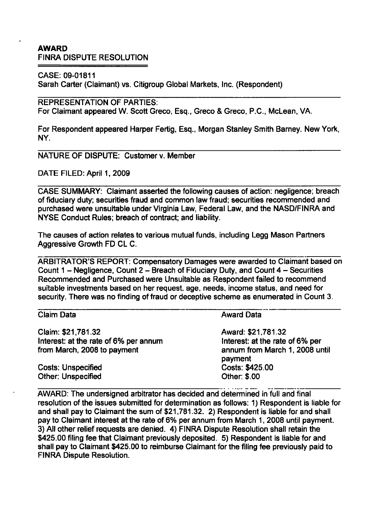## AWARD FINRA DISPUTE RESOLUTION

CASE: 09-01811

Sarah Carter (Claimant) vs. Citigroup Global Markets, Inc. (Respondent)

REPRESENTATION OF PARTIES:

For Claimant appeared W. Scott Greco, Esq., Greco & Greco, P.C., McLean, VA.

For Respondent appeared Harper Fertig, Esq., Morgan Stanley Smith Barney. New York, NY.

NATURE OF DISPUTE: Customer v. Member

DATE FILED: April 1.2009

CASE SUMMARY: Claimant asserted the following causes of action: negligence; breach of fiduciary duty: securities fraud and common law fraud; securities recommended and purchased were unsuitable under Virginia Law, Federal Law, and the NASD/FINRA and NYSE Conduct Rules; breach of contract; and liability.

The causes of action relates to various mutual funds, including Legg Mason Partners Aggressive Growth FD CL C.

ARBITRATOR'S REPORT: Compensatory Damages were awarded to Claimant based on Count 1 - Negligence, Count 2 - Breach of Fiduciary Duty, and Count 4 - Securities Recommended and Purchased were Unsuitable as Respondent failed to recommend suitable investments based on her request, age, needs, income status, and need for security. There was no finding of fraud or deceptive scheme as enumerated in Count 3.

| <b>Claim Data</b>                     | <b>Award Data</b>                         |
|---------------------------------------|-------------------------------------------|
| Claim: \$21,781.32                    | Award: \$21,781.32                        |
| Interest: at the rate of 6% per annum | Interest: at the rate of 6% per           |
| from March, 2008 to payment           | annum from March 1, 2008 until<br>payment |
| <b>Costs: Unspecified</b>             | Costs: \$425.00                           |
| Other: Unspecified                    | Other: \$.00                              |

AWARD: The undersigned arbitrator has decided and determined in full and final resolution of the issues submitted for determination as follows: 1) Respondent is liable for and shall pay to Claimant the sum of \$21,781.32. 2) Respondent is liable for and shall pay to Claimant interest at the rate of 6% per annum from March 1, 2008 until payment. 3) All other relief requests are denied. 4) FINRA Dispute Resolution shall retain the \$425.00 filing fee that Claimant previously deposited. 5) Respondent is liable for and shall pay to Claimant \$425.00 to reimburse Claimant for the filing fee previously paid to FINRA Dispute Resoiution.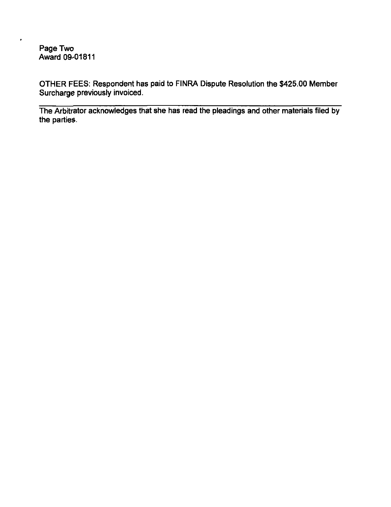Page Two Award 09-01811

 $\bullet$ 

OTIHER FEES: Respondent has paid to FINRA Dispute Resolution the \$425.00 Member Surcharge previously invoiced.

The Arbitrator acknowledges that she has read the pleadings and other materials filed by the parties.